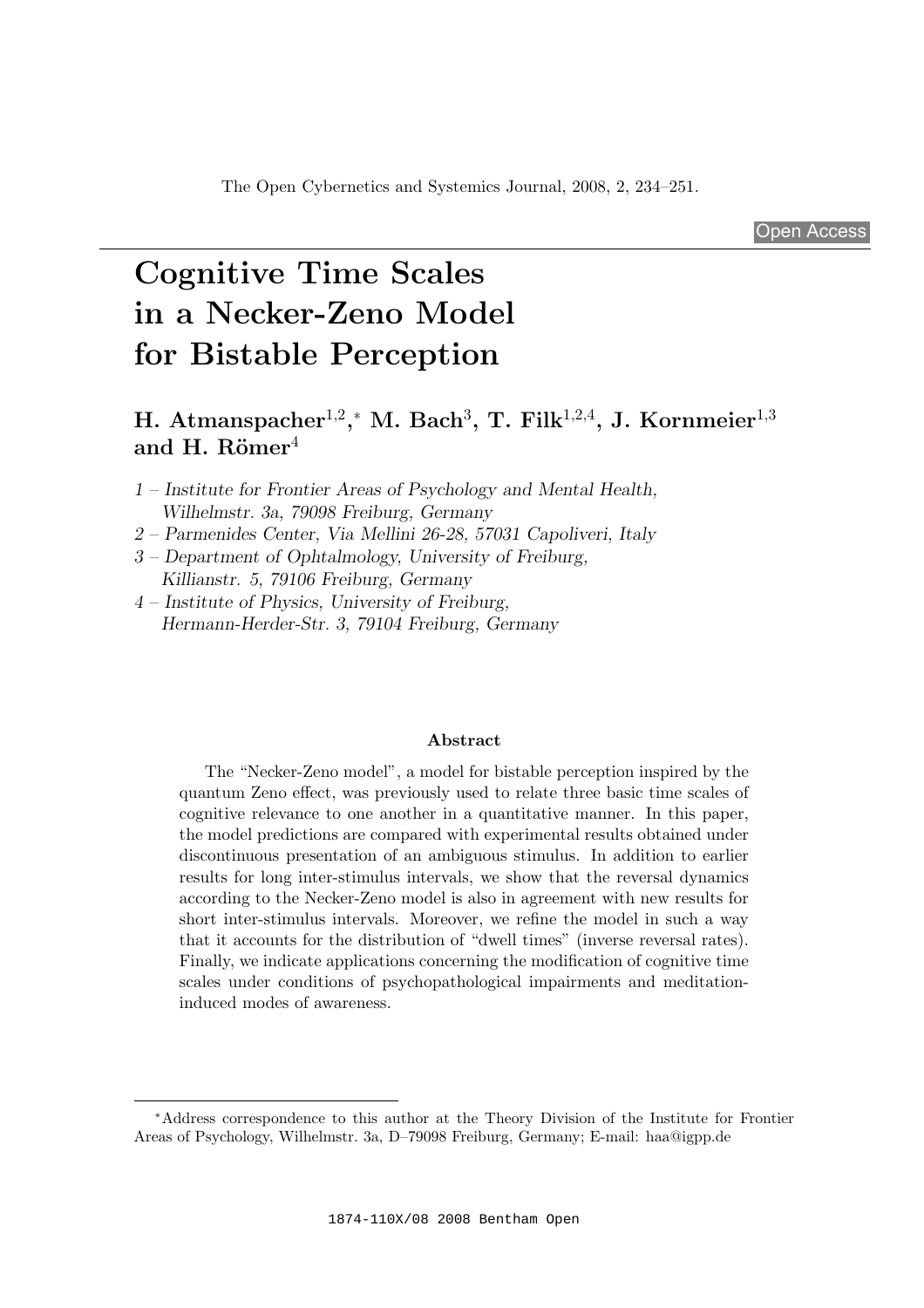# **Cognitive Time Scales in a Necker-Zeno Model for Bistable Perception**

# $\textbf{H}. \textbf{ Atmanspacher}^{1,2}, \textbf{^*} \textbf{M}. \textbf{ Bach}^3, \textbf{T}. \textbf{ Fillk}^{1,2,4}, \textbf{J}. \textbf{ Kornmeier}^{1,3}$ and H. Römer<sup>4</sup>

- *1 Institute for Frontier Areas of Psychology and Mental Health, Wilhelmstr. 3a, 79098 Freiburg, Germany*
- *2 Parmenides Center, Via Mellini 26-28, 57031 Capoliveri, Italy*
- *3 Department of Ophtalmology, University of Freiburg, Killianstr. 5, 79106 Freiburg, Germany*
- *4 Institute of Physics, University of Freiburg, Hermann-Herder-Str. 3, 79104 Freiburg, Germany*

#### **Abstract**

The "Necker-Zeno model", a model for bistable perception inspired by the quantum Zeno effect, was previously used to relate three basic time scales of cognitive relevance to one another in a quantitative manner. In this paper, the model predictions are compared with experimental results obtained under discontinuous presentation of an ambiguous stimulus. In addition to earlier results for long inter-stimulus intervals, we show that the reversal dynamics according to the Necker-Zeno model is also in agreement with new results for short inter-stimulus intervals. Moreover, we refine the model in such a way that it accounts for the distribution of "dwell times" (inverse reversal rates). Finally, we indicate applications concerning the modification of cognitive time scales under conditions of psychopathological impairments and meditationinduced modes of awareness. **EXECT SECTS CALCES**<br> **EXECTS CALCES**<br> **Perception**<br>
1.2,\* **M. Bach<sup>3</sup>, T. Filk<sup>1,2,4</sup>, J. Kornmeier<sup>1,3</sup><br>** *Areas of Psychology and Meutal Health,***<br>** *K Foreling, Germany***<br>** *Via Mellini 26-28, 57031 Capoliveri, Italy***<br>** *Pr* 

<sup>∗</sup>Address correspondence to this author at the Theory Division of the Institute for Frontier Areas of Psychology, Wilhelmstr. 3a, D–79098 Freiburg, Germany; E-mail: haa@igpp.de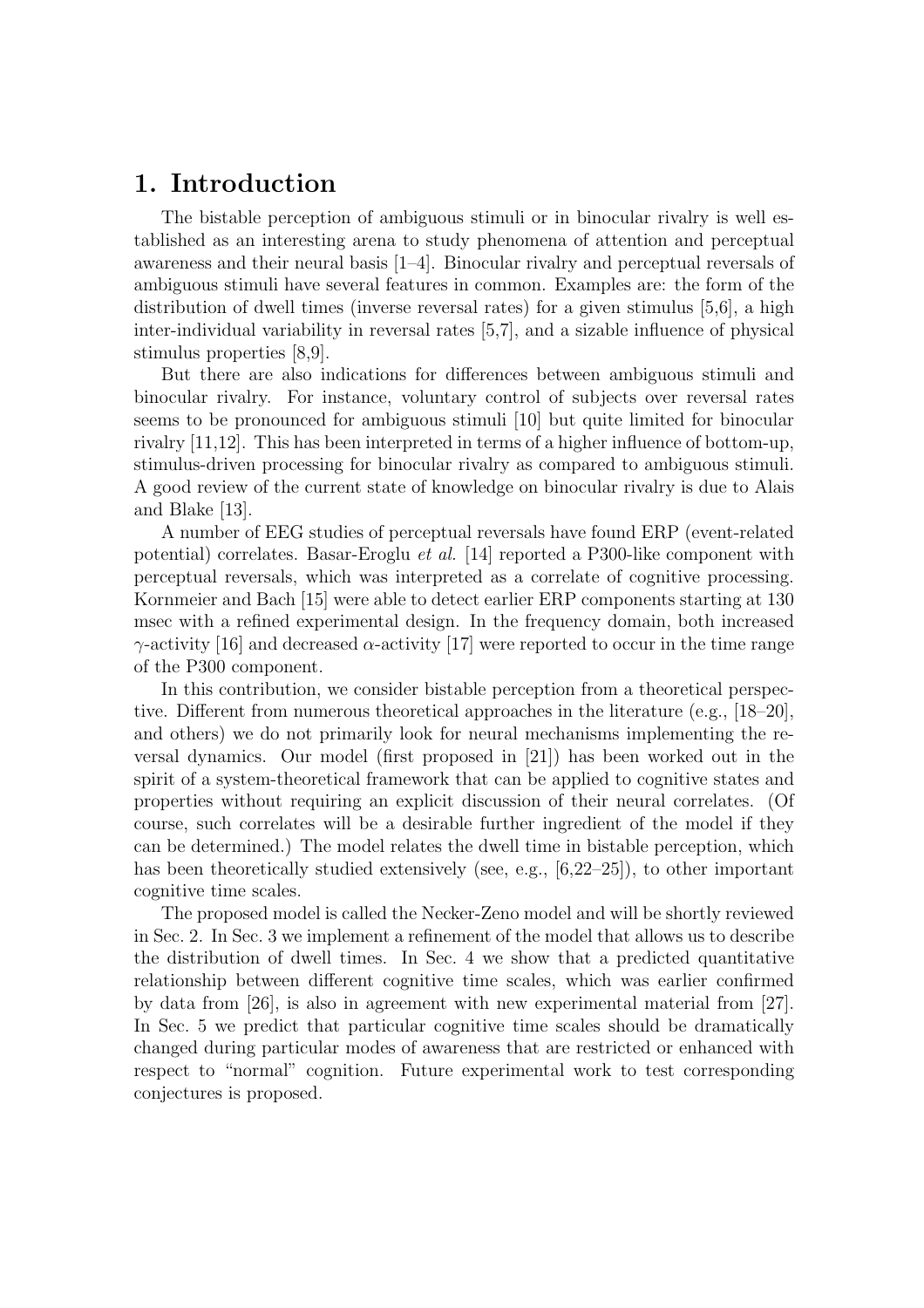## **1. Introduction**

The bistable perception of ambiguous stimuli or in binocular rivalry is well established as an interesting arena to study phenomena of attention and perceptual awareness and their neural basis [1–4]. Binocular rivalry and perceptual reversals of ambiguous stimuli have several features in common. Examples are: the form of the distribution of dwell times (inverse reversal rates) for a given stimulus [5,6], a high inter-individual variability in reversal rates [5,7], and a sizable influence of physical stimulus properties [8,9].

But there are also indications for differences between ambiguous stimuli and binocular rivalry. For instance, voluntary control of subjects over reversal rates seems to be pronounced for ambiguous stimuli [10] but quite limited for binocular rivalry [11,12]. This has been interpreted in terms of a higher influence of bottom-up, stimulus-driven processing for binocular rivalry as compared to ambiguous stimuli. A good review of the current state of knowledge on binocular rivalry is due to Alais and Blake [13].

A number of EEG studies of perceptual reversals have found ERP (event-related potential) correlates. Basar-Eroglu *et al.* [14] reported a P300-like component with perceptual reversals, which was interpreted as a correlate of cognitive processing. Kornmeier and Bach [15] were able to detect earlier ERP components starting at 130 msec with a refined experimental design. In the frequency domain, both increased  $\gamma$ -activity [16] and decreased  $\alpha$ -activity [17] were reported to occur in the time range of the P300 component.

In this contribution, we consider bistable perception from a theoretical perspective. Different from numerous theoretical approaches in the literature (e.g., [18–20], and others) we do not primarily look for neural mechanisms implementing the reversal dynamics. Our model (first proposed in [21]) has been worked out in the spirit of a system-theoretical framework that can be applied to cognitive states and properties without requiring an explicit discussion of their neural correlates. (Of course, such correlates will be a desirable further ingredient of the model if they can be determined.) The model relates the dwell time in bistable perception, which has been theoretically studied extensively (see, e.g., [6,22–25]), to other important cognitive time scales.

The proposed model is called the Necker-Zeno model and will be shortly reviewed in Sec. 2. In Sec. 3 we implement a refinement of the model that allows us to describe the distribution of dwell times. In Sec. 4 we show that a predicted quantitative relationship between different cognitive time scales, which was earlier confirmed by data from [26], is also in agreement with new experimental material from [27]. In Sec. 5 we predict that particular cognitive time scales should be dramatically changed during particular modes of awareness that are restricted or enhanced with respect to "normal" cognition. Future experimental work to test corresponding conjectures is proposed.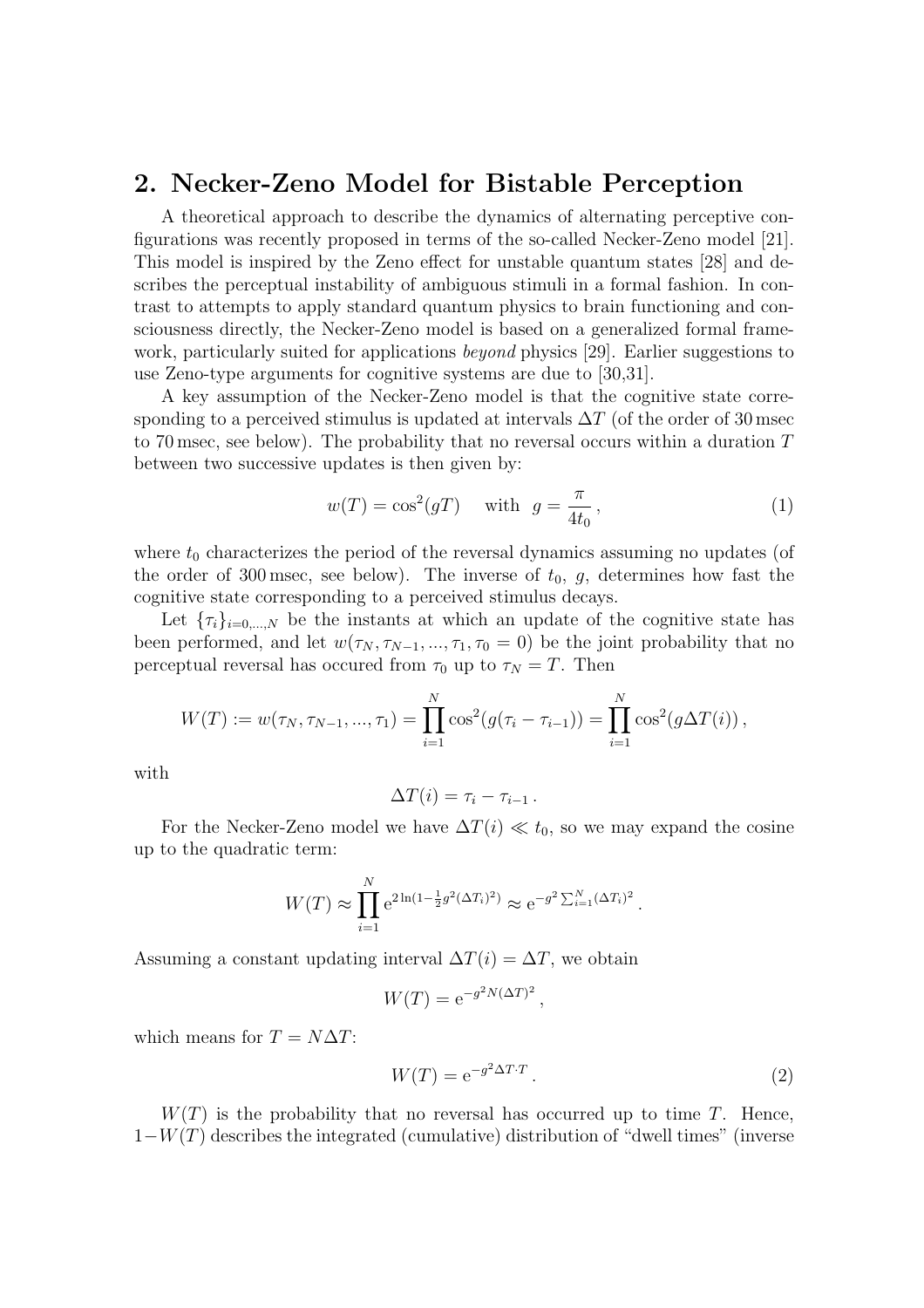# **2. Necker-Zeno Model for Bistable Perception**

A theoretical approach to describe the dynamics of alternating perceptive configurations was recently proposed in terms of the so-called Necker-Zeno model [21]. This model is inspired by the Zeno effect for unstable quantum states [28] and describes the perceptual instability of ambiguous stimuli in a formal fashion. In contrast to attempts to apply standard quantum physics to brain functioning and consciousness directly, the Necker-Zeno model is based on a generalized formal framework, particularly suited for applications *beyond* physics [29]. Earlier suggestions to use Zeno-type arguments for cognitive systems are due to [30,31].

A key assumption of the Necker-Zeno model is that the cognitive state corresponding to a perceived stimulus is updated at intervals  $\Delta T$  (of the order of 30 msec to 70 msec, see below). The probability that no reversal occurs within a duration T between two successive updates is then given by:

$$
w(T) = \cos^2(gT) \quad \text{with} \quad g = \frac{\pi}{4t_0},\tag{1}
$$

where  $t_0$  characterizes the period of the reversal dynamics assuming no updates (of the order of 300 msec, see below). The inverse of  $t_0$ , g, determines how fast the cognitive state corresponding to a perceived stimulus decays.

Let  $\{\tau_i\}_{i=0,\dots,N}$  be the instants at which an update of the cognitive state has been performed, and let  $w(\tau_N, \tau_{N-1}, ..., \tau_1, \tau_0 = 0)$  be the joint probability that no perceptual reversal has occured from  $\tau_0$  up to  $\tau_N = T$ . Then

$$
W(T) := w(\tau_N, \tau_{N-1}, ..., \tau_1) = \prod_{i=1}^N \cos^2(g(\tau_i - \tau_{i-1})) = \prod_{i=1}^N \cos^2(g\Delta T(i)),
$$

with

$$
\Delta T(i) = \tau_i - \tau_{i-1} \, .
$$

For the Necker-Zeno model we have  $\Delta T(i) \ll t_0$ , so we may expand the cosine to the quadratic term: up to the quadratic term:

$$
W(T) \approx \prod_{i=1}^{N} e^{2\ln(1 - \frac{1}{2}g^2 (\Delta T_i)^2)} \approx e^{-g^2 \sum_{i=1}^{N} (\Delta T_i)^2}
$$

Assuming a constant updating interval  $\Delta T(i)=\Delta T$ , we obtain

$$
W(T) = e^{-g^2 N (\Delta T)^2},
$$

which means for  $T = N\Delta T$ :

$$
W(T) = e^{-g^2 \Delta T \cdot T}.
$$
\n(2)

 $W(T)$  is the probability that no reversal has occurred up to time T. Hence,  $1-W(T)$  describes the integrated (cumulative) distribution of "dwell times" (inverse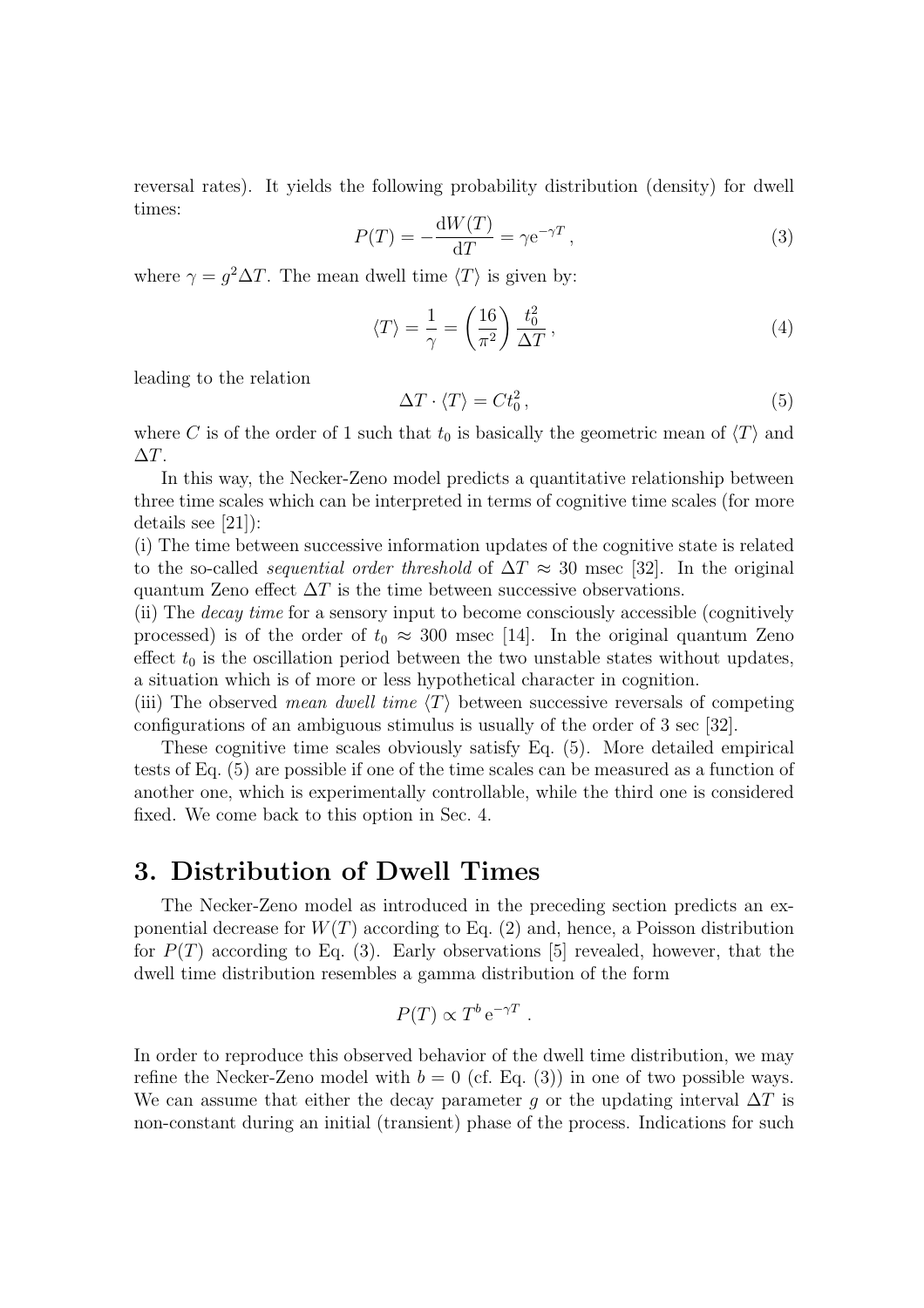reversal rates). It yields the following probability distribution (density) for dwell times:

$$
P(T) = -\frac{dW(T)}{dT} = \gamma e^{-\gamma T},
$$
\n(3)

where  $\gamma = g^2 \Delta T$ . The mean dwell time  $\langle T \rangle$  is given by:

$$
\langle T \rangle = \frac{1}{\gamma} = \left(\frac{16}{\pi^2}\right) \frac{t_0^2}{\Delta T},\tag{4}
$$

leading to the relation

$$
\Delta T \cdot \langle T \rangle = C t_0^2, \tag{5}
$$

where C is of the order of 1 such that  $t_0$  is basically the geometric mean of  $\langle T \rangle$  and  $\Delta T$ .

In this way, the Necker-Zeno model predicts a quantitative relationship between three time scales which can be interpreted in terms of cognitive time scales (for more details see [21]):

(i) The time between successive information updates of the cognitive state is related to the so-called *sequential order threshold* of  $\Delta T \approx 30$  msec [32]. In the original quantum Zeno effect  $\Delta T$  is the time between successive observations.

(ii) The *decay time* for a sensory input to become consciously accessible (cognitively processed) is of the order of  $t_0 \approx 300$  msec [14]. In the original quantum Zeno effect  $t_0$  is the oscillation period between the two unstable states without updates, a situation which is of more or less hypothetical character in cognition.

(iii) The observed *mean dwell time*  $\langle T \rangle$  between successive reversals of competing configurations of an ambiguous stimulus is usually of the order of 3 sec [32].

These cognitive time scales obviously satisfy Eq. (5). More detailed empirical tests of Eq. (5) are possible if one of the time scales can be measured as a function of another one, which is experimentally controllable, while the third one is considered fixed. We come back to this option in Sec. 4.

### **3. Distribution of Dwell Times**

The Necker-Zeno model as introduced in the preceding section predicts an exponential decrease for  $W(T)$  according to Eq. (2) and, hence, a Poisson distribution for  $P(T)$  according to Eq. (3). Early observations [5] revealed, however, that the dwell time distribution resembles a gamma distribution of the form

$$
P(T) \propto T^b e^{-\gamma T} .
$$

In order to reproduce this observed behavior of the dwell time distribution, we may refine the Necker-Zeno model with  $b = 0$  (cf. Eq. (3)) in one of two possible ways. We can assume that either the decay parameter q or the updating interval  $\Delta T$  is non-constant during an initial (transient) phase of the process. Indications for such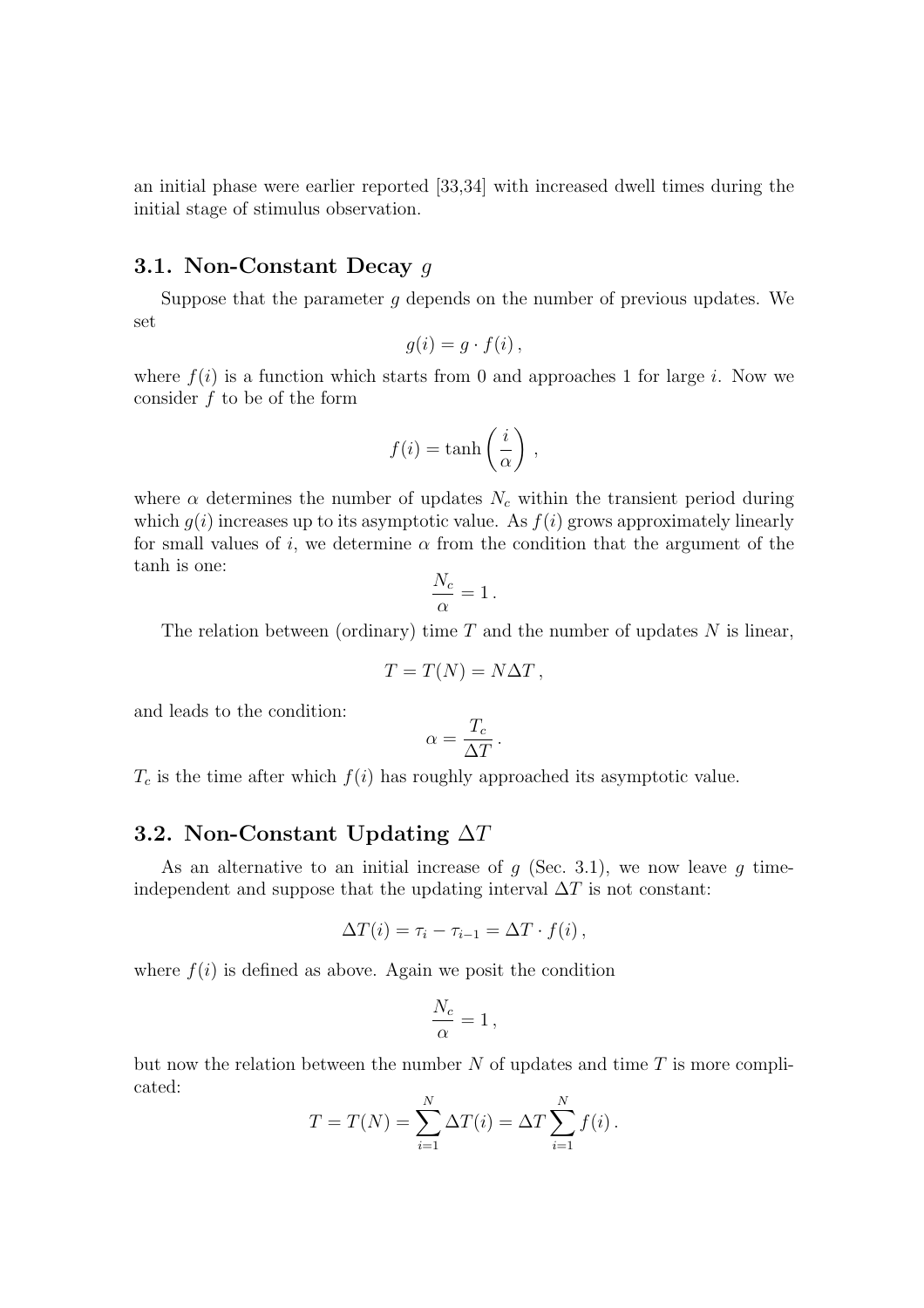an initial phase were earlier reported [33,34] with increased dwell times during the initial stage of stimulus observation.

#### **3.1. Non-Constant Decay** g

Suppose that the parameter  $g$  depends on the number of previous updates. We set

$$
g(i) = g \cdot f(i) \,,
$$

where  $f(i)$  is a function which starts from 0 and approaches 1 for large i. Now we consider  $f$  to be of the form

$$
f(i) = \tanh\left(\frac{i}{\alpha}\right) ,
$$

where  $\alpha$  determines the number of updates  $N_c$  within the transient period during which  $g(i)$  increases up to its asymptotic value. As  $f(i)$  grows approximately linearly for small values of i, we determine  $\alpha$  from the condition that the argument of the tanh is one:

$$
\frac{N_c}{\alpha} = 1 \, .
$$

The relation between (ordinary) time  $T$  and the number of updates  $N$  is linear,

$$
T = T(N) = N\Delta T,
$$

and leads to the condition:

$$
\alpha = \frac{T_c}{\Delta T}.
$$

 $T_c$  is the time after which  $f(i)$  has roughly approached its asymptotic value.

#### **3.2. Non-Constant Updating** <sup>∆</sup>T

As an alternative to an initial increase of  $g$  (Sec. 3.1), we now leave  $g$  timeindependent and suppose that the updating interval  $\Delta T$  is not constant:

$$
\Delta T(i) = \tau_i - \tau_{i-1} = \Delta T \cdot f(i) \,,
$$

where  $f(i)$  is defined as above. Again we posit the condition

$$
\frac{N_c}{\alpha} = 1 \,,
$$

but now the relation between the number  $N$  of updates and time  $T$  is more complicated:

$$
T = T(N) = \sum_{i=1}^{N} \Delta T(i) = \Delta T \sum_{i=1}^{N} f(i).
$$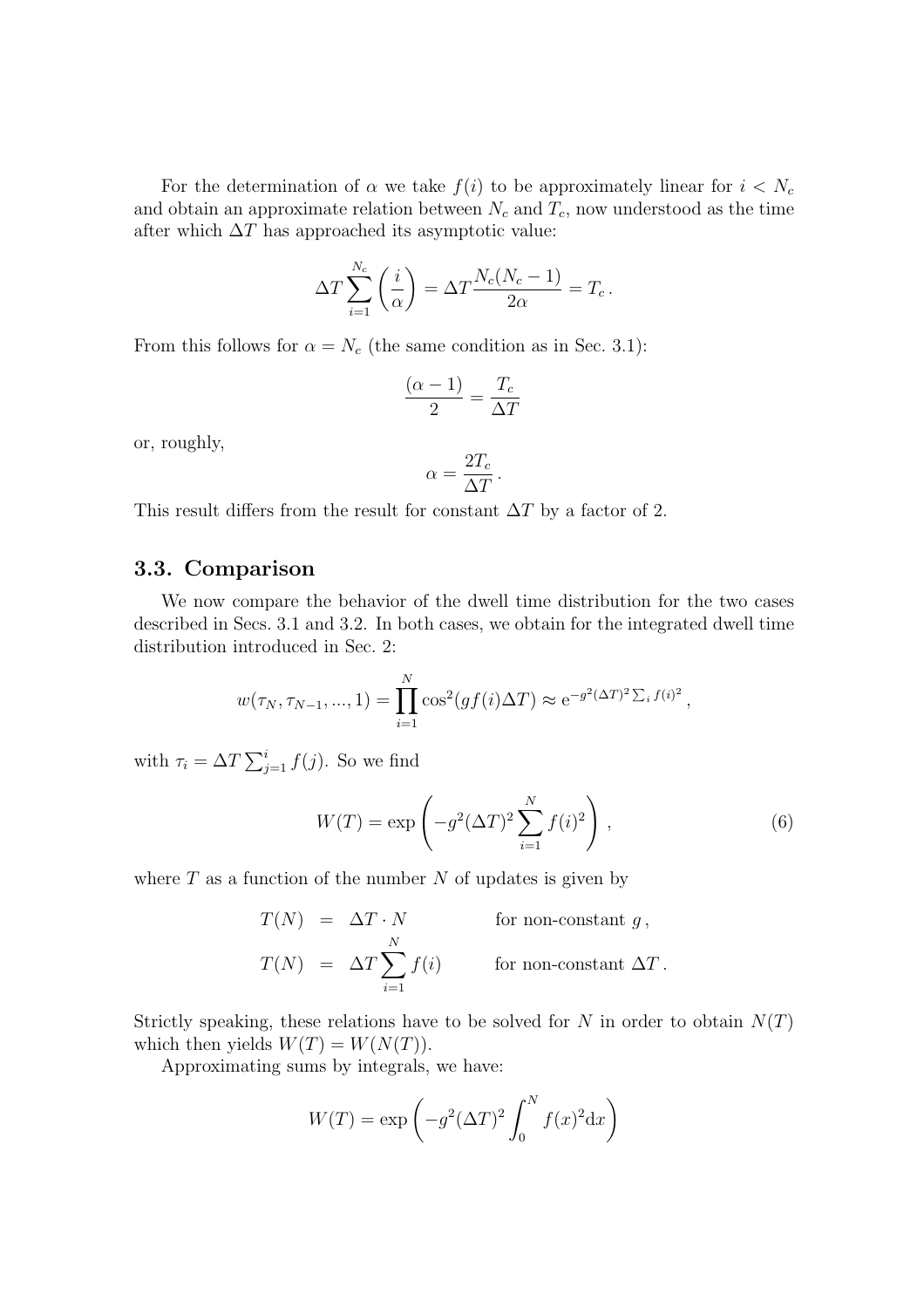For the determination of  $\alpha$  we take  $f(i)$  to be approximately linear for  $i < N_c$ and obtain an approximate relation between  $N_c$  and  $T_c$ , now understood as the time after which  $\Delta T$  has approached its asymptotic value:

$$
\Delta T \sum_{i=1}^{N_c} \left( \frac{i}{\alpha} \right) = \Delta T \frac{N_c (N_c - 1)}{2\alpha} = T_c \,.
$$

From this follows for  $\alpha = N_c$  (the same condition as in Sec. 3.1):

$$
\frac{(\alpha - 1)}{2} = \frac{T_c}{\Delta T}
$$

or, roughly,

$$
\alpha = \frac{2T_c}{\Delta T}.
$$

This result differs from the result for constant  $\Delta T$  by a factor of 2.

#### **3.3. Comparison**

We now compare the behavior of the dwell time distribution for the two cases described in Secs. 3.1 and 3.2. In both cases, we obtain for the integrated dwell time distribution introduced in Sec. 2:

$$
w(\tau_N, \tau_{N-1}, ..., 1) = \prod_{i=1}^N \cos^2(gf(i)\Delta T) \approx e^{-g^2(\Delta T)^2 \sum_i f(i)^2},
$$

with  $\tau_i = \Delta T \sum_{j=1}^i f(j)$ . So we find

$$
W(T) = \exp\left(-g^2(\Delta T)^2 \sum_{i=1}^{N} f(i)^2\right),
$$
\n(6)

where  $T$  as a function of the number  $N$  of updates is given by

$$
T(N) = \Delta T \cdot N
$$
 for non-constant  $g$ ,  

$$
T(N) = \Delta T \sum_{i=1}^{N} f(i)
$$
 for non-constant  $\Delta T$ .

Strictly speaking, these relations have to be solved for  $N$  in order to obtain  $N(T)$ which then yields  $W(T) = W(N(T))$ .

Approximating sums by integrals, we have:

$$
W(T) = \exp\left(-g^2(\Delta T)^2 \int_0^N f(x)^2 dx\right)
$$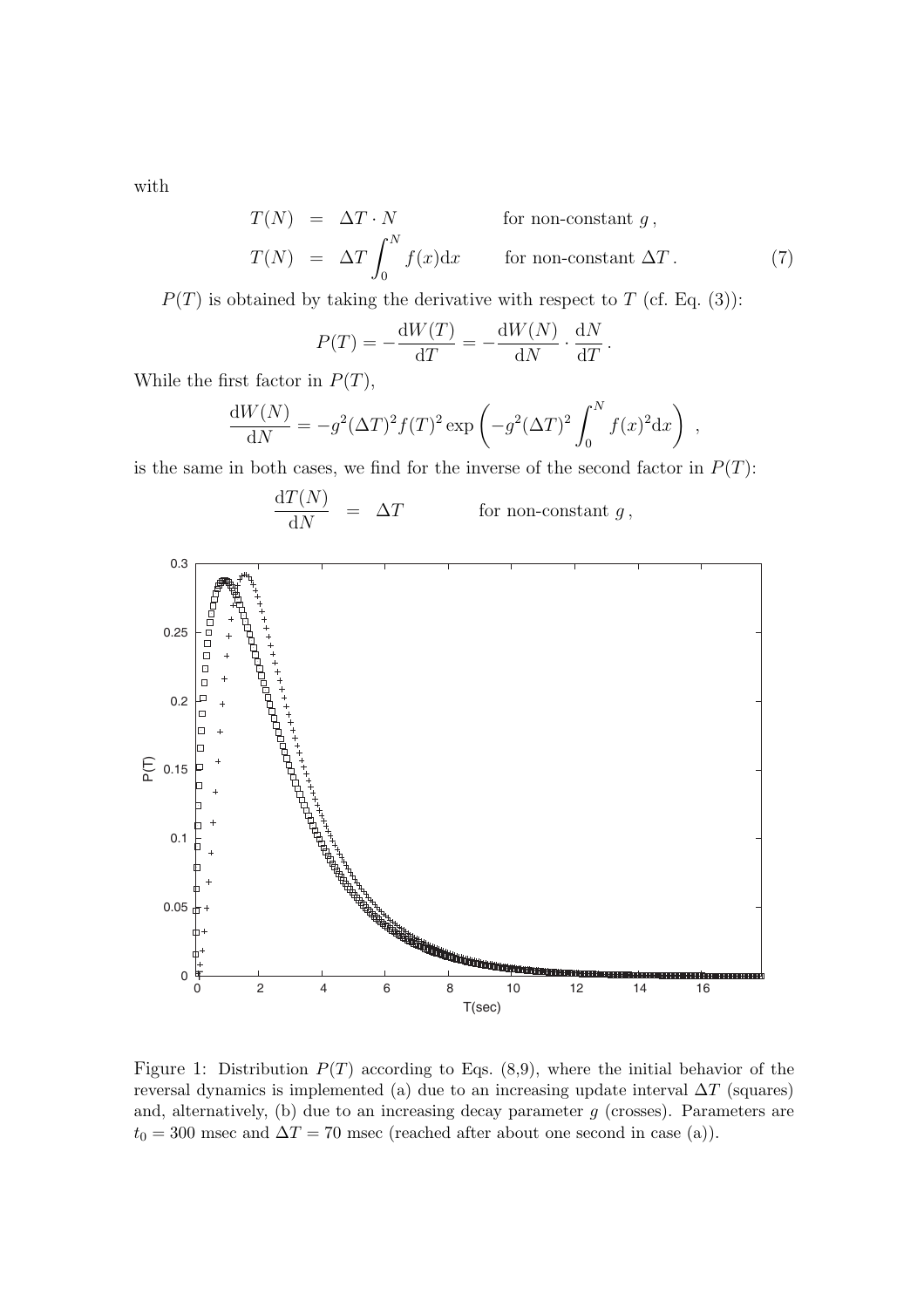with

$$
T(N) = \Delta T \cdot N
$$
 for non-constant g,  
\n
$$
T(N) = \Delta T \int_0^N f(x) dx
$$
 for non-constant  $\Delta T$ . (7)

 $P(T)$  is obtained by taking the derivative with respect to T (cf. Eq. (3)):

$$
P(T) = -\frac{\mathrm{d}W(T)}{\mathrm{d}T} = -\frac{\mathrm{d}W(N)}{\mathrm{d}N} \cdot \frac{\mathrm{d}N}{\mathrm{d}T}.
$$

While the first factor in  $P(T)$ ,

$$
\frac{dW(N)}{dN} = -g^2(\Delta T)^2 f(T)^2 \exp\left(-g^2(\Delta T)^2 \int_0^N f(x)^2 dx\right) ,
$$

is the same in both cases, we find for the inverse of the second factor in  $P(T)$ :



Figure 1: Distribution  $P(T)$  according to Eqs.  $(8,9)$ , where the initial behavior of the reversal dynamics is implemented (a) due to an increasing update interval ∆*T* (squares) and, alternatively, (b) due to an increasing decay parameter  $g$  (crosses). Parameters are  $t_0 = 300$  msec and  $\Delta T = 70$  msec (reached after about one second in case (a)).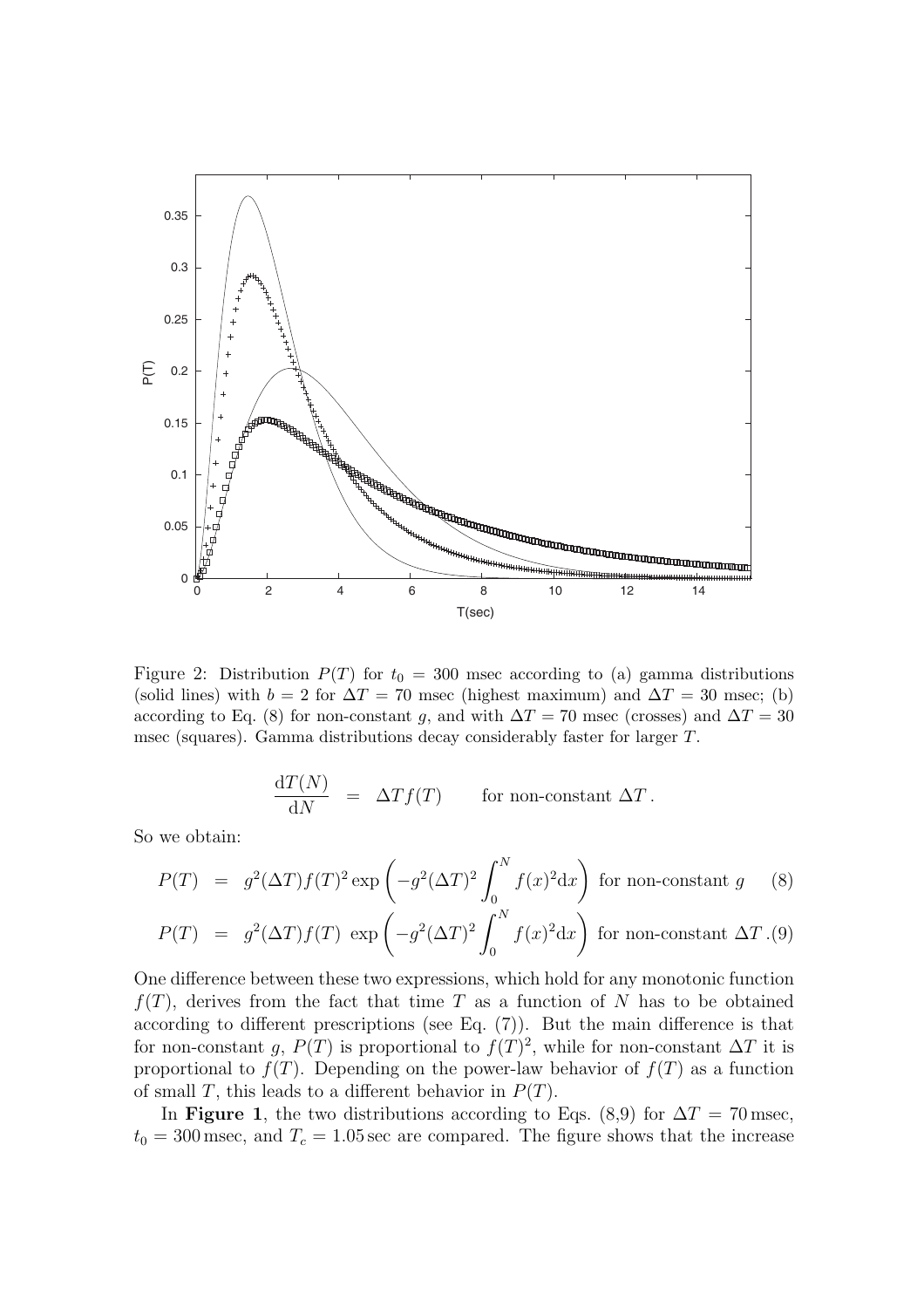

Figure 2: Distribution  $P(T)$  for  $t_0 = 300$  msec according to (a) gamma distributions (solid lines) with  $b = 2$  for  $\Delta T = 70$  msec (highest maximum) and  $\Delta T = 30$  msec; (b) according to Eq. (8) for non-constant *g*, and with  $\Delta T = 70$  msec (crosses) and  $\Delta T = 30$ msec (squares). Gamma distributions decay considerably faster for larger *T*.

$$
\frac{\mathrm{d}T(N)}{\mathrm{d}N} = \Delta Tf(T) \qquad \text{for non-constant } \Delta T.
$$

So we obtain:

$$
P(T) = g^{2}(\Delta T)f(T)^{2} \exp\left(-g^{2}(\Delta T)^{2} \int_{0}^{N} f(x)^{2} dx\right)
$$
 for non-constant g (8)  

$$
P(T) = g^{2}(\Delta T)f(T) \exp\left(-g^{2}(\Delta T)^{2} \int_{0}^{N} f(x)^{2} dx\right)
$$
 for non-constant  $\Delta T$ . (9)

One difference between these two expressions, which hold for any monotonic function  $f(T)$ , derives from the fact that time T as a function of N has to be obtained according to different prescriptions (see Eq. (7)). But the main difference is that for non-constant g,  $P(T)$  is proportional to  $f(T)^2$ , while for non-constant  $\Delta T$  it is proportional to  $f(T)$ . Depending on the power-law behavior of  $f(T)$  as a function of small T, this leads to a different behavior in  $P(T)$ .

In **Figure 1**, the two distributions according to Eqs. (8,9) for  $\Delta T = 70$  msec,  $t_0 = 300$  msec, and  $T_c = 1.05$  sec are compared. The figure shows that the increase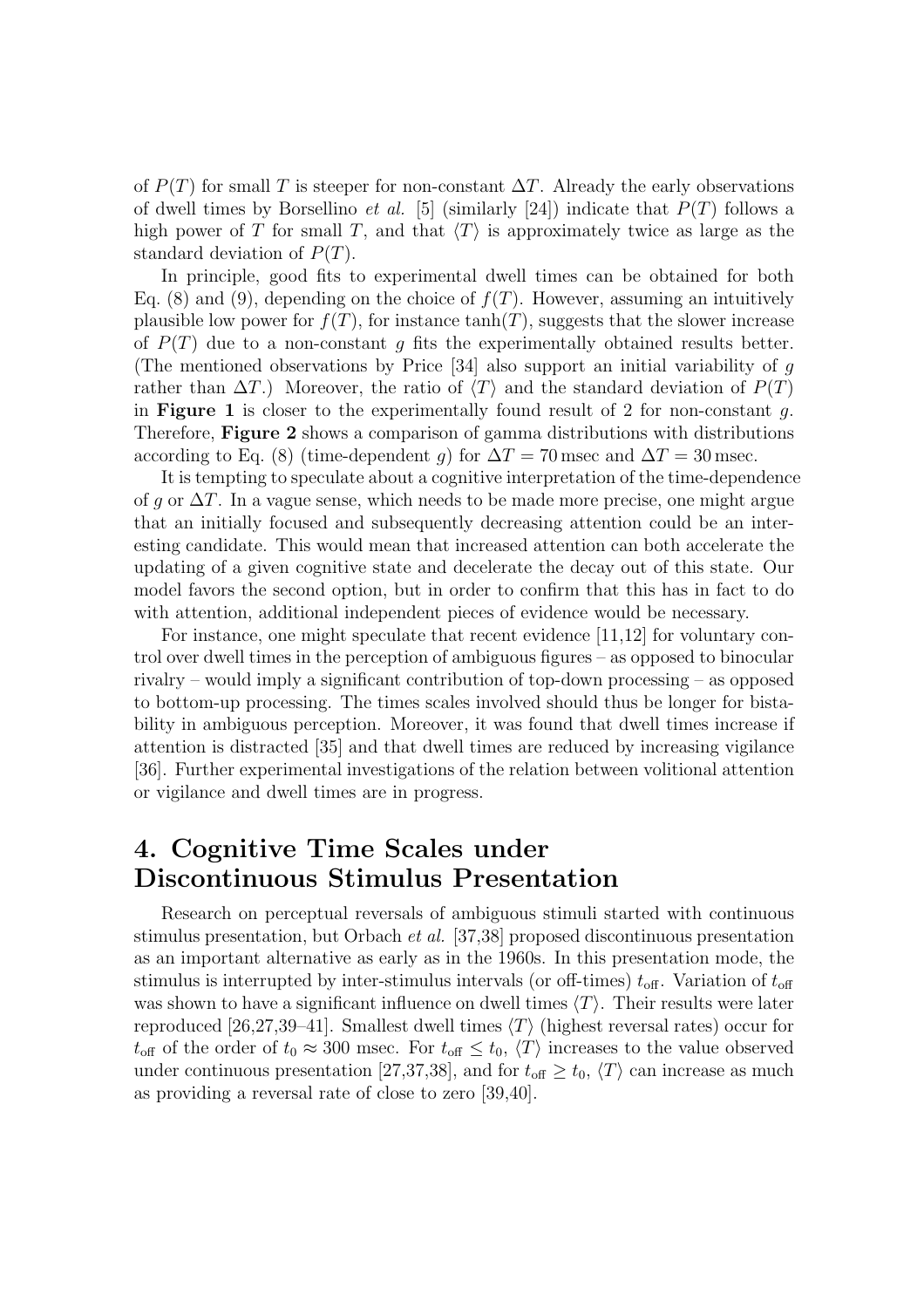of  $P(T)$  for small T is steeper for non-constant  $\Delta T$ . Already the early observations of dwell times by Borsellino *et al.* [5] (similarly [24]) indicate that  $P(T)$  follows a high power of T for small T, and that  $\langle T \rangle$  is approximately twice as large as the standard deviation of  $P(T)$ .

In principle, good fits to experimental dwell times can be obtained for both Eq. (8) and (9), depending on the choice of  $f(T)$ . However, assuming an intuitively plausible low power for  $f(T)$ , for instance  $\tanh(T)$ , suggests that the slower increase of  $P(T)$  due to a non-constant q fits the experimentally obtained results better. (The mentioned observations by Price [34] also support an initial variability of g rather than  $\Delta T$ .) Moreover, the ratio of  $\langle T \rangle$  and the standard deviation of  $P(T)$ in **Figure 1** is closer to the experimentally found result of 2 for non-constant g. Therefore, **Figure 2** shows a comparison of gamma distributions with distributions according to Eq. (8) (time-dependent q) for  $\Delta T = 70$  msec and  $\Delta T = 30$  msec.

It is tempting to speculate about a cognitive interpretation of the time-dependence of g or  $\Delta T$ . In a vague sense, which needs to be made more precise, one might argue that an initially focused and subsequently decreasing attention could be an interesting candidate. This would mean that increased attention can both accelerate the updating of a given cognitive state and decelerate the decay out of this state. Our model favors the second option, but in order to confirm that this has in fact to do with attention, additional independent pieces of evidence would be necessary.

For instance, one might speculate that recent evidence [11,12] for voluntary control over dwell times in the perception of ambiguous figures – as opposed to binocular rivalry – would imply a significant contribution of top-down processing – as opposed to bottom-up processing. The times scales involved should thus be longer for bistability in ambiguous perception. Moreover, it was found that dwell times increase if attention is distracted [35] and that dwell times are reduced by increasing vigilance [36]. Further experimental investigations of the relation between volitional attention or vigilance and dwell times are in progress.

# **4. Cognitive Time Scales under Discontinuous Stimulus Presentation**

Research on perceptual reversals of ambiguous stimuli started with continuous stimulus presentation, but Orbach *et al.* [37,38] proposed discontinuous presentation as an important alternative as early as in the 1960s. In this presentation mode, the stimulus is interrupted by inter-stimulus intervals (or off-times)  $t_{\text{off}}$ . Variation of  $t_{\text{off}}$ was shown to have a significant influence on dwell times  $\langle T \rangle$ . Their results were later reproduced [26,27,39–41]. Smallest dwell times  $\langle T \rangle$  (highest reversal rates) occur for  $t_{\text{off}}$  of the order of  $t_0 \approx 300$  msec. For  $t_{\text{off}} \leq t_0$ ,  $\langle T \rangle$  increases to the value observed under continuous presentation [27,37,38], and for  $t_{\text{off}} \geq t_0$ ,  $\langle T \rangle$  can increase as much as providing a reversal rate of close to zero [39,40].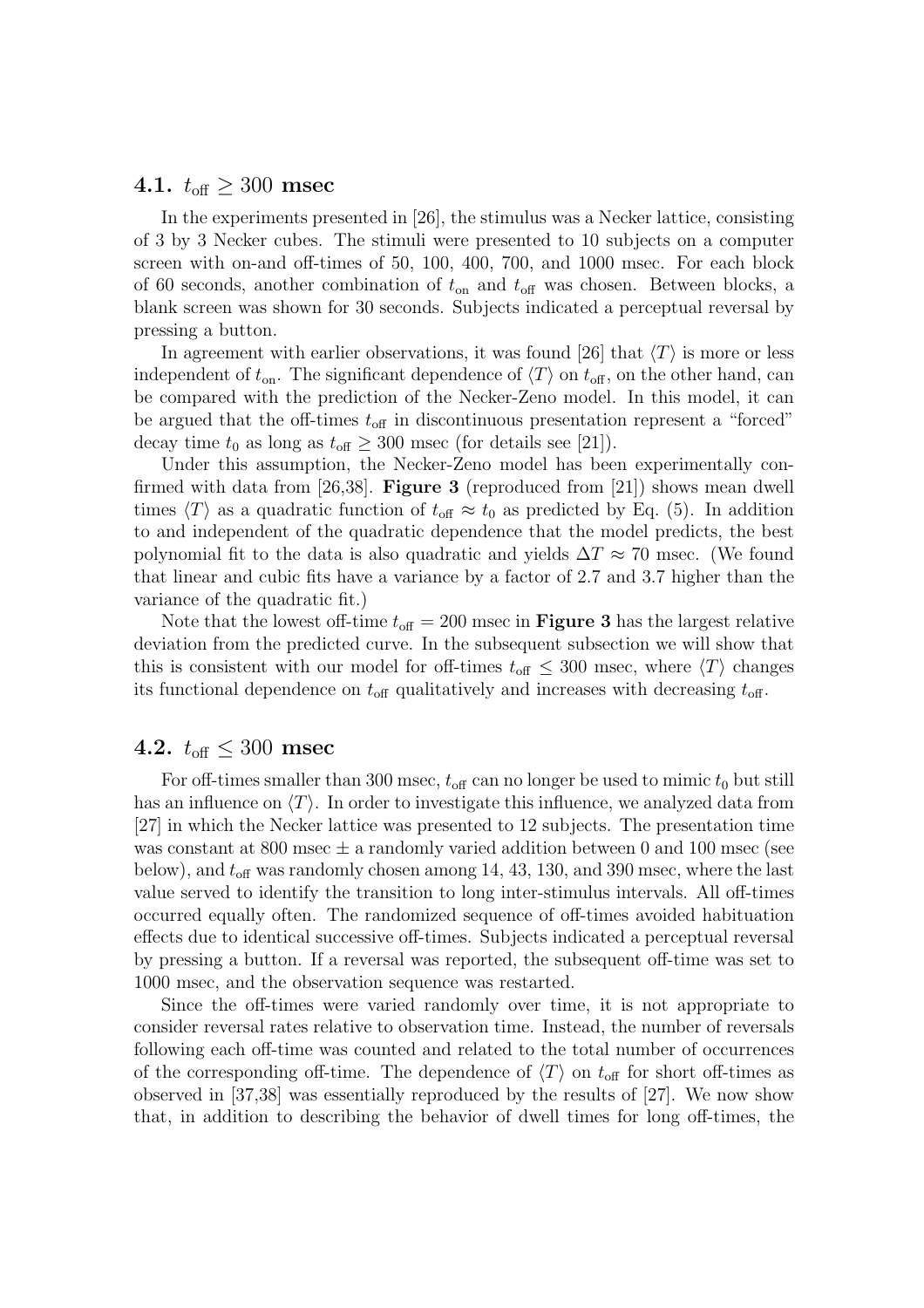#### **4.1.**  $t_{\text{off}}$  ≥ 300 **msec**

In the experiments presented in [26], the stimulus was a Necker lattice, consisting of 3 by 3 Necker cubes. The stimuli were presented to 10 subjects on a computer screen with on-and off-times of 50, 100, 400, 700, and 1000 msec. For each block of 60 seconds, another combination of  $t_{on}$  and  $t_{off}$  was chosen. Between blocks, a blank screen was shown for 30 seconds. Subjects indicated a perceptual reversal by pressing a button.

In agreement with earlier observations, it was found [26] that  $\langle T \rangle$  is more or less independent of  $t_{\text{on}}$ . The significant dependence of  $\langle T \rangle$  on  $t_{\text{off}}$ , on the other hand, can be compared with the prediction of the Necker-Zeno model. In this model, it can be argued that the off-times  $t_{\text{off}}$  in discontinuous presentation represent a "forced" decay time  $t_0$  as long as  $t_{\text{off}} \geq 300$  msec (for details see [21]).

Under this assumption, the Necker-Zeno model has been experimentally confirmed with data from [26,38]. **Figure 3** (reproduced from [21]) shows mean dwell times  $\langle T \rangle$  as a quadratic function of  $t_{\text{off}} \approx t_0$  as predicted by Eq. (5). In addition to and independent of the quadratic dependence that the model predicts, the best polynomial fit to the data is also quadratic and yields  $\Delta T \approx 70$  msec. (We found that linear and cubic fits have a variance by a factor of 2.7 and 3.7 higher than the variance of the quadratic fit.)

Note that the lowest off-time  $t_{\text{off}} = 200$  msec in **Figure 3** has the largest relative deviation from the predicted curve. In the subsequent subsection we will show that this is consistent with our model for off-times  $t_{\text{off}} \leq 300$  msec, where  $\langle T \rangle$  changes its functional dependence on  $t_{\text{off}}$  qualitatively and increases with decreasing  $t_{\text{off}}$ .

#### **4.2.**  $t_{\text{off}} \leq 300$  msec

For off-times smaller than 300 msec,  $t_{\text{off}}$  can no longer be used to mimic  $t_0$  but still has an influence on  $\langle T \rangle$ . In order to investigate this influence, we analyzed data from [27] in which the Necker lattice was presented to 12 subjects. The presentation time was constant at 800 msec  $\pm$  a randomly varied addition between 0 and 100 msec (see below), and  $t_{\text{off}}$  was randomly chosen among 14, 43, 130, and 390 msec, where the last value served to identify the transition to long inter-stimulus intervals. All off-times occurred equally often. The randomized sequence of off-times avoided habituation effects due to identical successive off-times. Subjects indicated a perceptual reversal by pressing a button. If a reversal was reported, the subsequent off-time was set to 1000 msec, and the observation sequence was restarted.

Since the off-times were varied randomly over time, it is not appropriate to consider reversal rates relative to observation time. Instead, the number of reversals following each off-time was counted and related to the total number of occurrences of the corresponding off-time. The dependence of  $\langle T \rangle$  on  $t_{\text{off}}$  for short off-times as observed in [37,38] was essentially reproduced by the results of [27]. We now show that, in addition to describing the behavior of dwell times for long off-times, the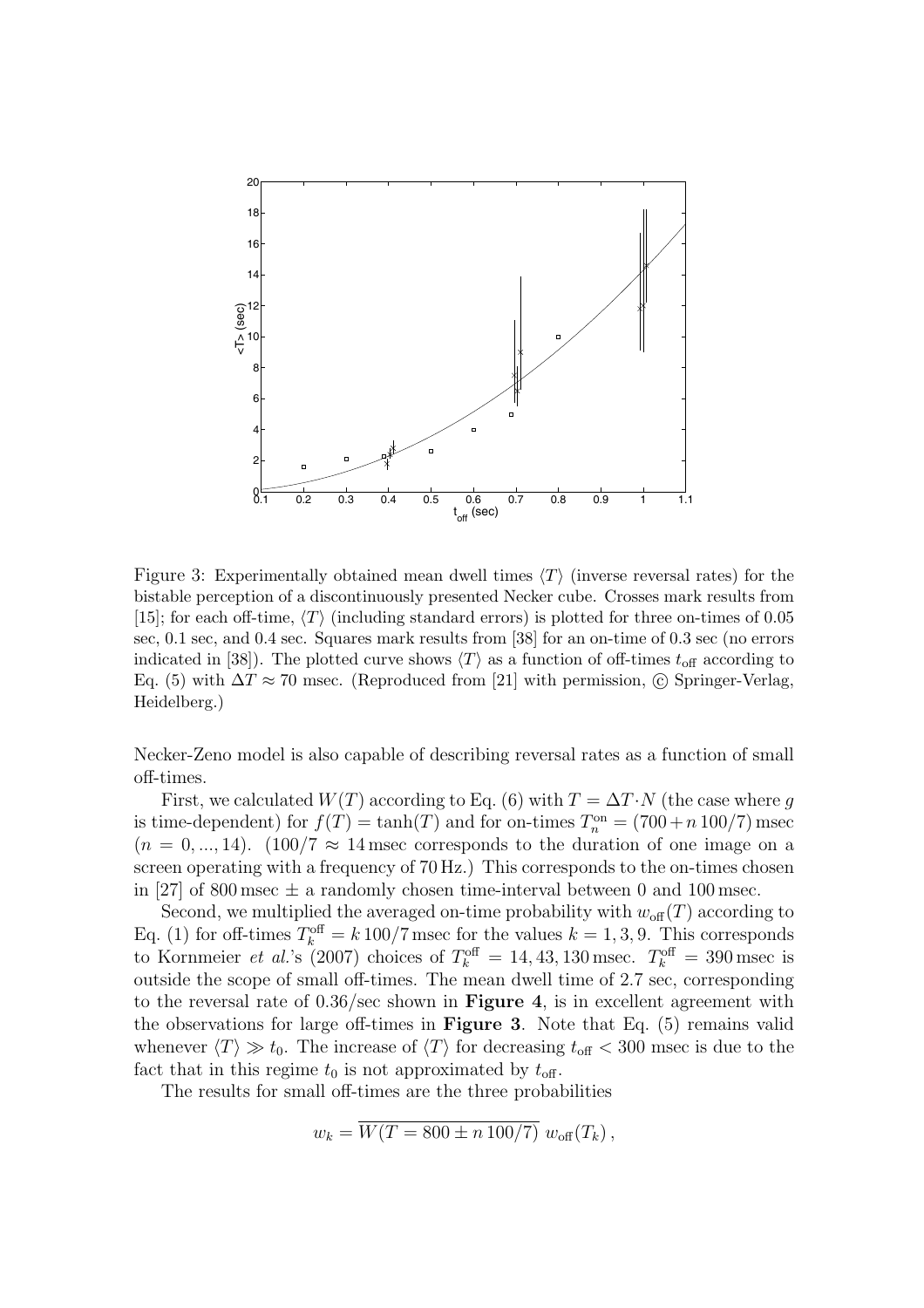

Figure 3: Experimentally obtained mean dwell times  $\langle T \rangle$  (inverse reversal rates) for the bistable perception of a discontinuously presented Necker cube. Crosses mark results from [15]; for each off-time,  $\langle T \rangle$  (including standard errors) is plotted for three on-times of 0.05 sec, 0.1 sec, and 0.4 sec. Squares mark results from [38] for an on-time of 0.3 sec (no errors indicated in [38]). The plotted curve shows  $\langle T \rangle$  as a function of off-times  $t_{\text{off}}$  according to Eq. (5) with  $\Delta T \approx 70$  msec. (Reproduced from [21] with permission, © Springer-Verlag, Heidelberg.)

Necker-Zeno model is also capable of describing reversal rates as a function of small off-times.

First, we calculated  $W(T)$  according to Eq. (6) with  $T = \Delta T \cdot N$  (the case where q is time-dependent) for  $f(T) = \tanh(T)$  and for on-times  $T_n^{\text{on}} = (700 + n 100/7)$  msec<br>  $(n = 0, 14)$  (100/7  $\approx$  14 msec corresponds to the duration of one image on a  $(n = 0, ..., 14)$ . (100/7  $\approx$  14 msec corresponds to the duration of one image on a screen operating with a frequency of 70 Hz.) This corresponds to the on-times chosen in [27] of 800 msec  $\pm$  a randomly chosen time-interval between 0 and 100 msec.

Second, we multiplied the averaged on-time probability with  $w_{\text{off}}(T)$  according to (1) for off-times  $T^{\text{off}} = k 100/7$  msec for the values  $k = 1, 3, 9$ . This corresponds Eq. (1) for off-times  $T_k^{\text{off}} = k 100/7$  msec for the values  $k = 1, 3, 9$ . This corresponds<br>to Kornmoiar *et al*,  $(2007)$  choices of  $T^{\text{off}} = 14/43, 130$  msec,  $T^{\text{off}} = 300$  msec is to Kornmeier *et al.*'s (2007) choices of  $T_k^{\text{off}} = 14, 43, 130 \text{ msec}$ .  $T_k^{\text{off}} = 390 \text{ msec}$  is<br>outside the scope of small off-times. The mean dwell time of 2.7 sec. corresponding outside the scope of small off-times. The mean dwell time of 2.7 sec, corresponding to the reversal rate of 0.36/sec shown in **Figure 4**, is in excellent agreement with the observations for large off-times in **Figure 3**. Note that Eq. (5) remains valid whenever  $\langle T \rangle \gg t_0$ . The increase of  $\langle T \rangle$  for decreasing  $t_{\text{off}} < 300$  msec is due to the fact that in this regime  $t_0$  is not approximated by  $t_{\text{off}}$ . fact that in this regime  $t_0$  is not approximated by  $t_{\text{off}}$ .

The results for small off-times are the three probabilities

$$
w_k = \overline{W(T = 800 \pm n \, 100/7)} \, w_{\text{off}}(T_k) \,,
$$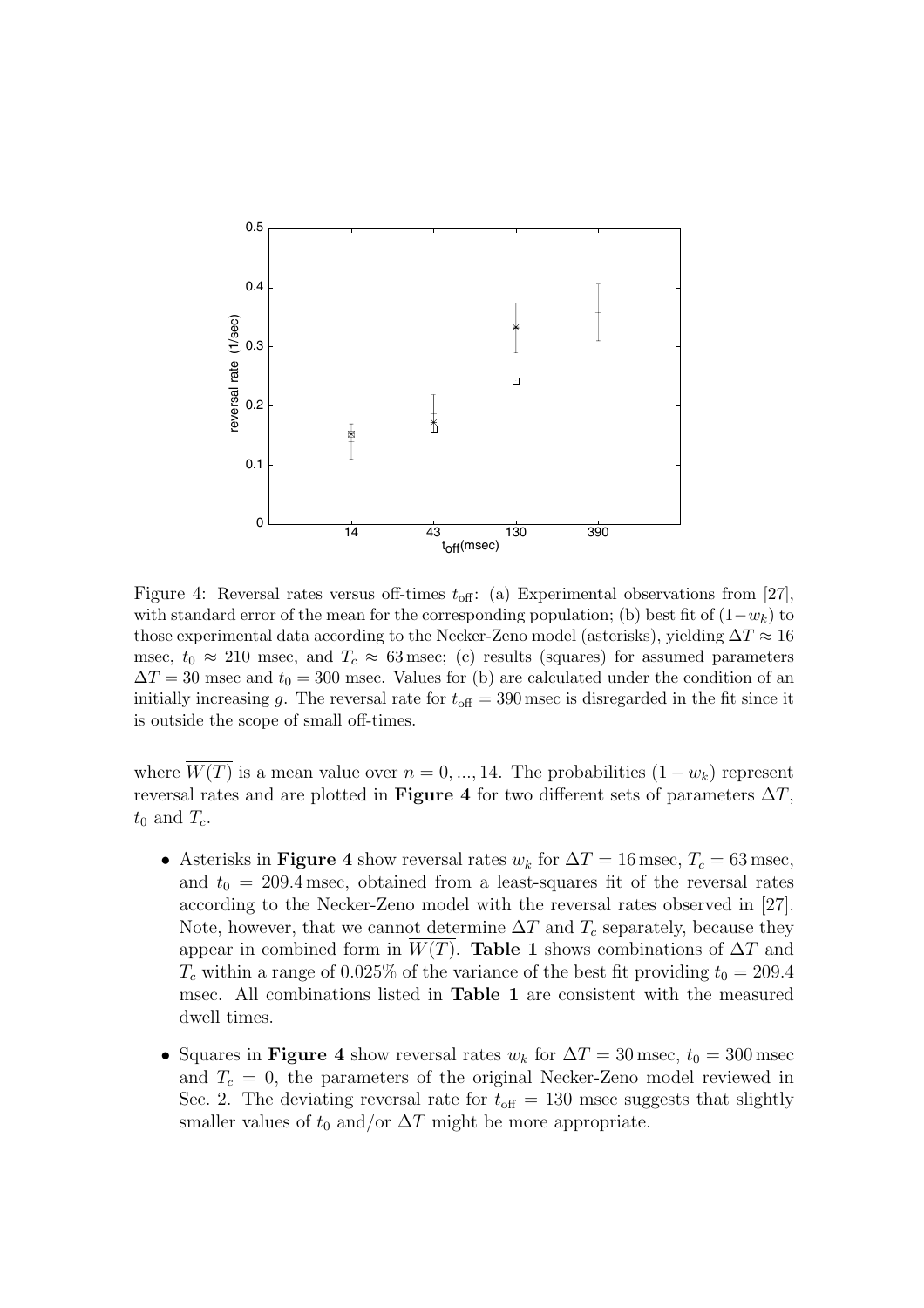

Figure 4: Reversal rates versus off-times  $t_{\text{off}}$ : (a) Experimental observations from [27], with standard error of the mean for the corresponding population; (b) best fit of  $(1-w_k)$  to those experimental data according to the Necker-Zeno model (asterisks), yielding  $\Delta T \approx 16$ msec,  $t_0 \approx 210$  msec, and  $T_c \approx 63$  msec; (c) results (squares) for assumed parameters  $\Delta T = 30$  msec and  $t_0 = 300$  msec. Values for (b) are calculated under the condition of an initially increasing *g*. The reversal rate for  $t_{\text{off}} = 390 \text{ msec}$  is disregarded in the fit since it is outside the scope of small off-times.

where  $W(T)$  is a mean value over  $n = 0, ..., 14$ . The probabilities  $(1 - w_k)$  represent reversal rates and are plotted in **Figure 4** for two different sets of parameters  $\Delta T$ ,  $t_0$  and  $T_c$ .

- Asterisks in **Figure 4** show reversal rates  $w_k$  for  $\Delta T = 16$  msec,  $T_c = 63$  msec, and  $t_0 = 209.4$  msec, obtained from a least-squares fit of the reversal rates according to the Necker-Zeno model with the reversal rates observed in [27]. Note, however, that we cannot determine  $\Delta T$  and  $T_c$  separately, because they appear in combined form in  $\overline{W(T)}$ . **Table 1** shows combinations of  $\Delta T$  and  $T_c$  within a range of 0.025% of the variance of the best fit providing  $t_0 = 209.4$ msec. All combinations listed in **Table 1** are consistent with the measured dwell times.
- Squares in **Figure 4** show reversal rates  $w_k$  for  $\Delta T = 30$  msec,  $t_0 = 300$  msec and  $T_c = 0$ , the parameters of the original Necker-Zeno model reviewed in Sec. 2. The deviating reversal rate for  $t_{\text{off}} = 130$  msec suggests that slightly smaller values of  $t_0$  and/or  $\Delta T$  might be more appropriate.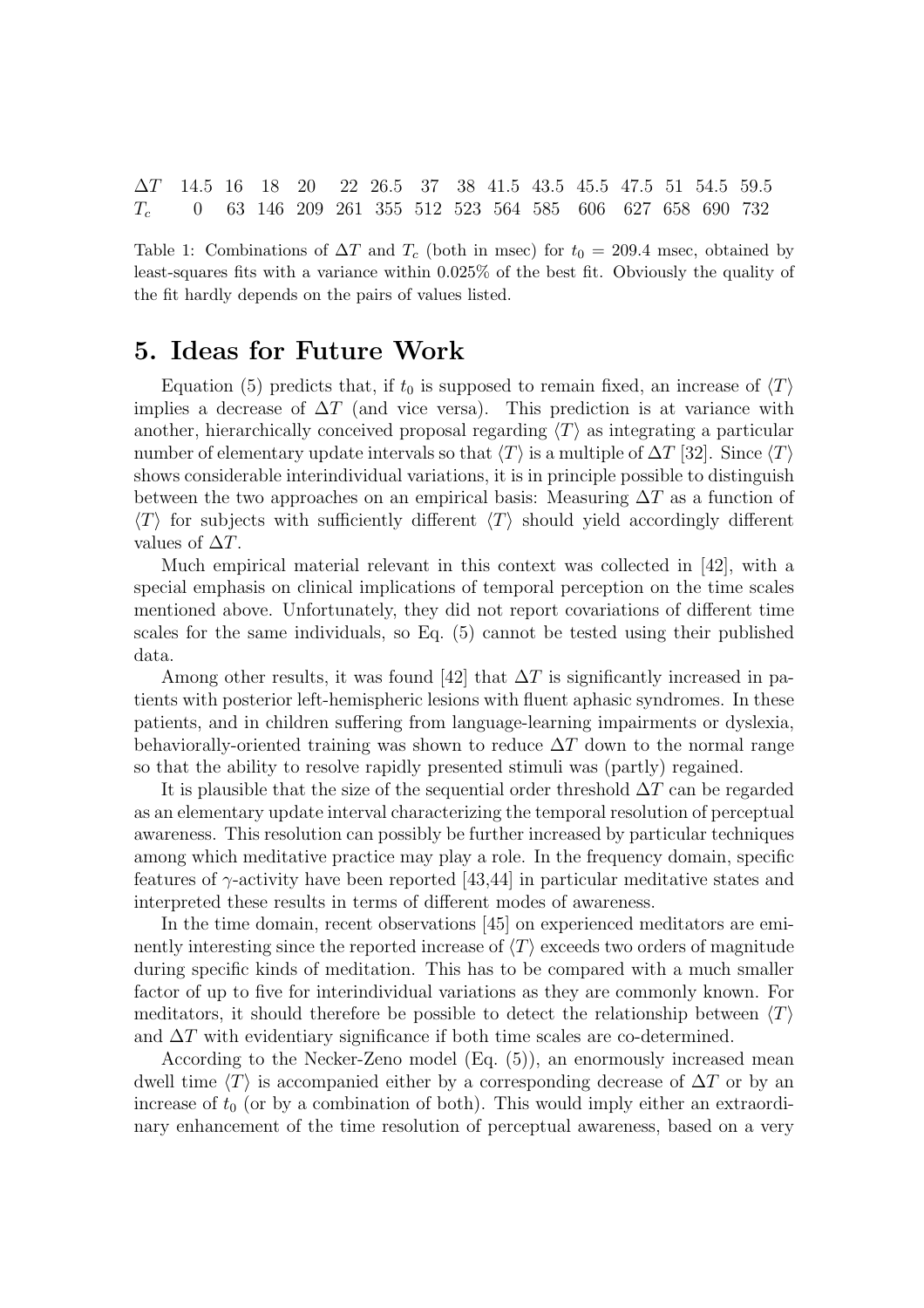$\Delta T$  14.5 16 18 20 22 26.5 37 38 41.5 43.5 45.5 47.5 51 54.5 59.5<br>  $T_c$  0 63 146 209 261 355 512 523 564 585 606 627 658 690 732 146 209 261 355 512 523 564 585

Table 1: Combinations of  $\Delta T$  and  $T_c$  (both in msec) for  $t_0 = 209.4$  msec, obtained by least-squares fits with a variance within 0.025% of the best fit. Obviously the quality of the fit hardly depends on the pairs of values listed.

### **5. Ideas for Future Work**

Equation (5) predicts that, if  $t_0$  is supposed to remain fixed, an increase of  $\langle T \rangle$ implies a decrease of  $\Delta T$  (and vice versa). This prediction is at variance with another, hierarchically conceived proposal regarding  $\langle T \rangle$  as integrating a particular number of elementary update intervals so that  $\langle T \rangle$  is a multiple of  $\Delta T$  [32]. Since  $\langle T \rangle$ shows considerable interindividual variations, it is in principle possible to distinguish between the two approaches on an empirical basis: Measuring  $\Delta T$  as a function of  $\langle T \rangle$  for subjects with sufficiently different  $\langle T \rangle$  should yield accordingly different values of  $\Delta T$ .

Much empirical material relevant in this context was collected in [42], with a special emphasis on clinical implications of temporal perception on the time scales mentioned above. Unfortunately, they did not report covariations of different time scales for the same individuals, so Eq. (5) cannot be tested using their published data.

Among other results, it was found [42] that  $\Delta T$  is significantly increased in patients with posterior left-hemispheric lesions with fluent aphasic syndromes. In these patients, and in children suffering from language-learning impairments or dyslexia, behaviorally-oriented training was shown to reduce  $\Delta T$  down to the normal range so that the ability to resolve rapidly presented stimuli was (partly) regained.

It is plausible that the size of the sequential order threshold  $\Delta T$  can be regarded as an elementary update interval characterizing the temporal resolution of perceptual awareness. This resolution can possibly be further increased by particular techniques among which meditative practice may play a role. In the frequency domain, specific features of γ-activity have been reported [43,44] in particular meditative states and interpreted these results in terms of different modes of awareness.

In the time domain, recent observations [45] on experienced meditators are eminently interesting since the reported increase of  $\langle T \rangle$  exceeds two orders of magnitude during specific kinds of meditation. This has to be compared with a much smaller factor of up to five for interindividual variations as they are commonly known. For meditators, it should therefore be possible to detect the relationship between  $\langle T \rangle$ and  $\Delta T$  with evidentiary significance if both time scales are co-determined.

According to the Necker-Zeno model (Eq. (5)), an enormously increased mean dwell time  $\langle T \rangle$  is accompanied either by a corresponding decrease of  $\Delta T$  or by an increase of  $t_0$  (or by a combination of both). This would imply either an extraordinary enhancement of the time resolution of perceptual awareness, based on a very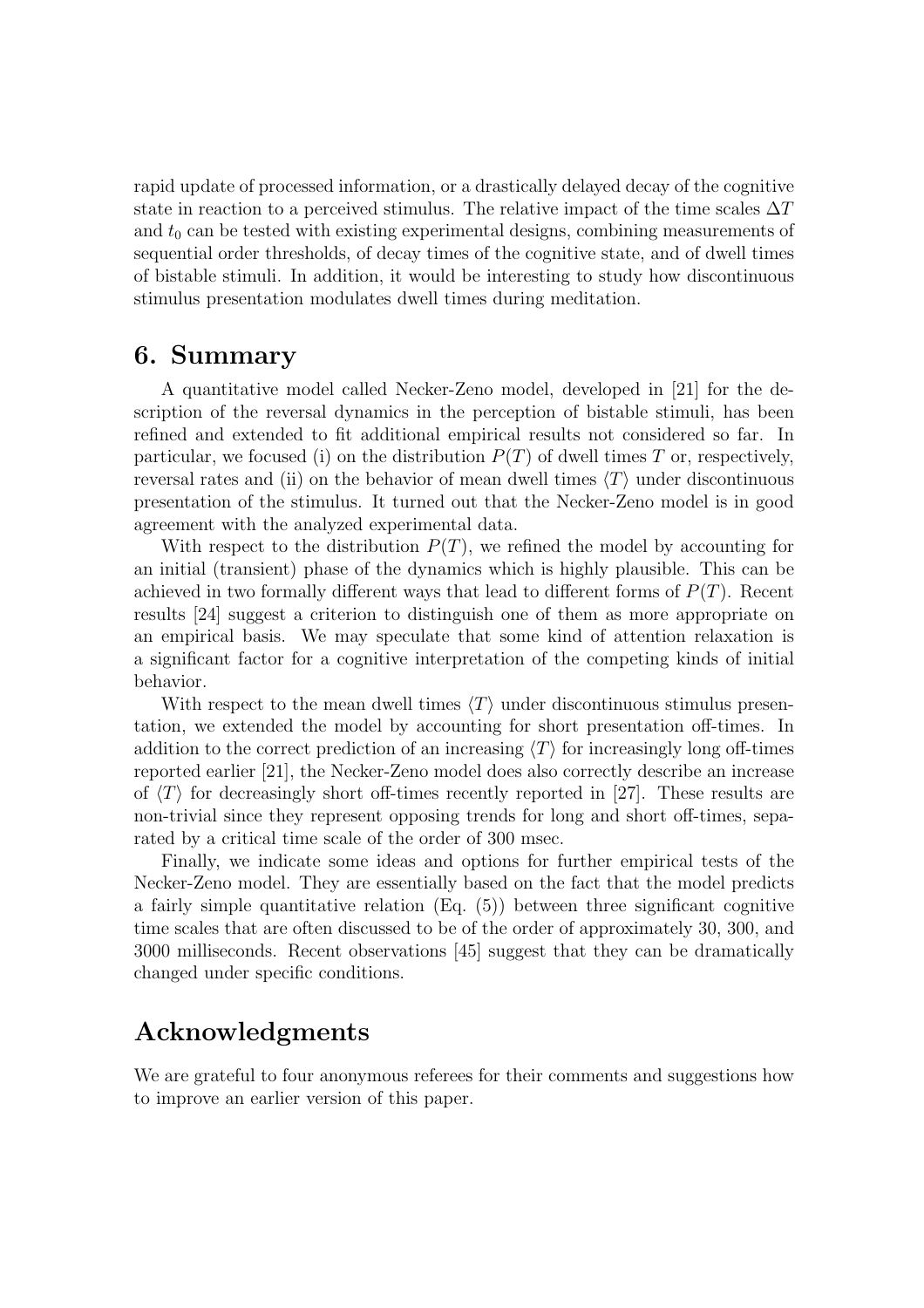rapid update of processed information, or a drastically delayed decay of the cognitive state in reaction to a perceived stimulus. The relative impact of the time scales  $\Delta T$ and  $t_0$  can be tested with existing experimental designs, combining measurements of sequential order thresholds, of decay times of the cognitive state, and of dwell times of bistable stimuli. In addition, it would be interesting to study how discontinuous stimulus presentation modulates dwell times during meditation.

## **6. Summary**

A quantitative model called Necker-Zeno model, developed in [21] for the description of the reversal dynamics in the perception of bistable stimuli, has been refined and extended to fit additional empirical results not considered so far. In particular, we focused (i) on the distribution  $P(T)$  of dwell times T or, respectively, reversal rates and (ii) on the behavior of mean dwell times  $\langle T \rangle$  under discontinuous presentation of the stimulus. It turned out that the Necker-Zeno model is in good agreement with the analyzed experimental data.

With respect to the distribution  $P(T)$ , we refined the model by accounting for an initial (transient) phase of the dynamics which is highly plausible. This can be achieved in two formally different ways that lead to different forms of  $P(T)$ . Recent results [24] suggest a criterion to distinguish one of them as more appropriate on an empirical basis. We may speculate that some kind of attention relaxation is a significant factor for a cognitive interpretation of the competing kinds of initial behavior.

With respect to the mean dwell times  $\langle T \rangle$  under discontinuous stimulus presentation, we extended the model by accounting for short presentation off-times. In addition to the correct prediction of an increasing  $\langle T \rangle$  for increasingly long off-times reported earlier [21], the Necker-Zeno model does also correctly describe an increase of  $\langle T \rangle$  for decreasingly short off-times recently reported in [27]. These results are non-trivial since they represent opposing trends for long and short off-times, separated by a critical time scale of the order of 300 msec.

Finally, we indicate some ideas and options for further empirical tests of the Necker-Zeno model. They are essentially based on the fact that the model predicts a fairly simple quantitative relation  $(E_q, (5))$  between three significant cognitive time scales that are often discussed to be of the order of approximately 30, 300, and 3000 milliseconds. Recent observations [45] suggest that they can be dramatically changed under specific conditions.

# **Acknowledgments**

We are grateful to four anonymous referees for their comments and suggestions how to improve an earlier version of this paper.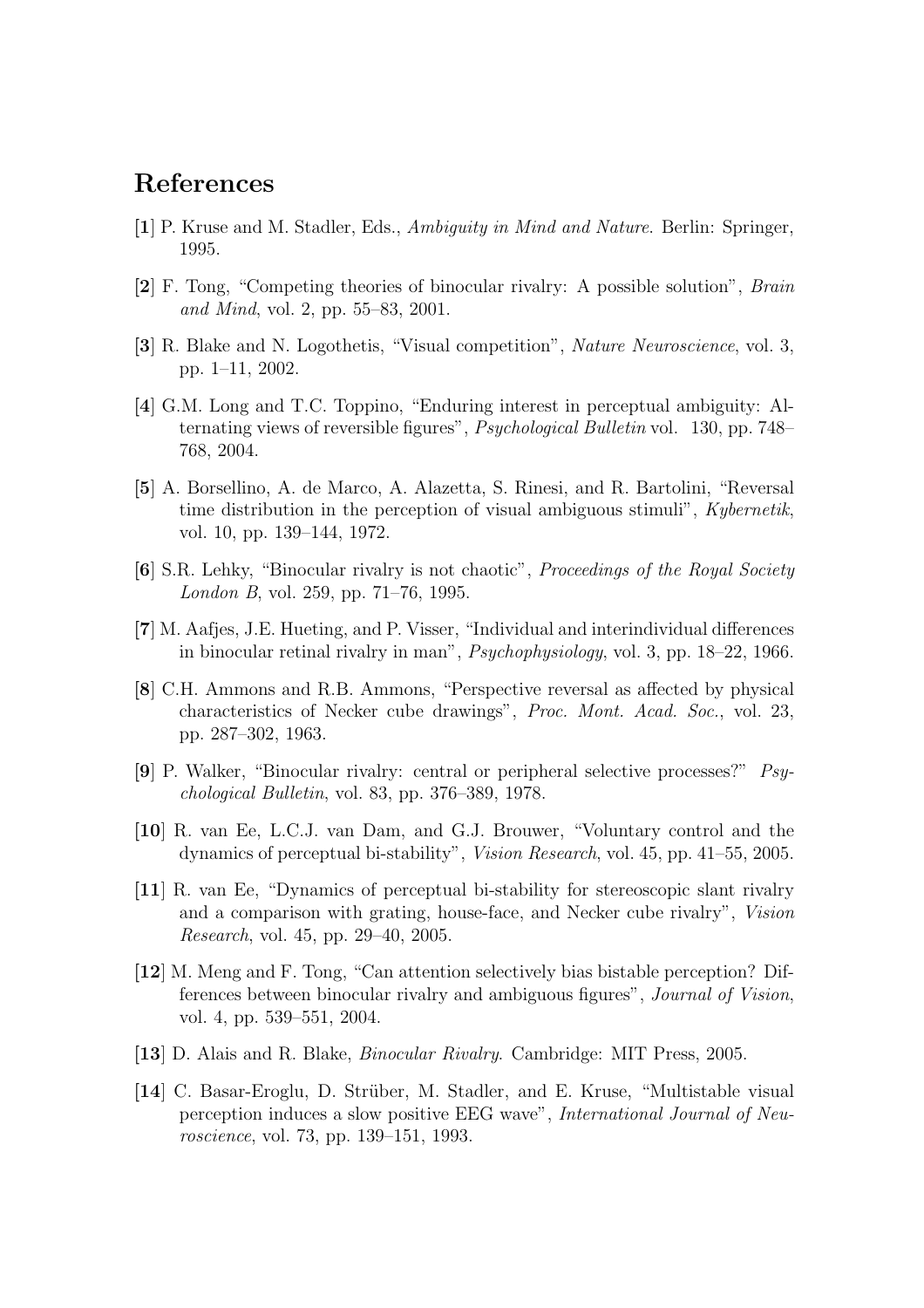# **References**

- **[1**] P. Kruse and M. Stadler, Eds., *Ambiguity in Mind and Nature*. Berlin: Springer, 1995.
- **[2**] F. Tong, "Competing theories of binocular rivalry: A possible solution", *Brain and Mind*, vol. 2, pp. 55–83, 2001.
- **[3**] R. Blake and N. Logothetis, "Visual competition", *Nature Neuroscience*, vol. 3, pp. 1–11, 2002.
- **[4**] G.M. Long and T.C. Toppino, "Enduring interest in perceptual ambiguity: Alternating views of reversible figures", *Psychological Bulletin* vol. 130, pp. 748– 768, 2004.
- **[5**] A. Borsellino, A. de Marco, A. Alazetta, S. Rinesi, and R. Bartolini, "Reversal time distribution in the perception of visual ambiguous stimuli", *Kybernetik*, vol. 10, pp. 139–144, 1972.
- **[6**] S.R. Lehky, "Binocular rivalry is not chaotic", *Proceedings of the Royal Society London B*, vol. 259, pp. 71–76, 1995.
- **[7**] M. Aafjes, J.E. Hueting, and P. Visser, "Individual and interindividual differences in binocular retinal rivalry in man", *Psychophysiology*, vol. 3, pp. 18–22, 1966.
- **[8**] C.H. Ammons and R.B. Ammons, "Perspective reversal as affected by physical characteristics of Necker cube drawings", *Proc. Mont. Acad. Soc.*, vol. 23, pp. 287–302, 1963.
- **[9**] P. Walker, "Binocular rivalry: central or peripheral selective processes?" *Psychological Bulletin*, vol. 83, pp. 376–389, 1978.
- **[10**] R. van Ee, L.C.J. van Dam, and G.J. Brouwer, "Voluntary control and the dynamics of perceptual bi-stability", *Vision Research*, vol. 45, pp. 41–55, 2005.
- **[11**] R. van Ee, "Dynamics of perceptual bi-stability for stereoscopic slant rivalry and a comparison with grating, house-face, and Necker cube rivalry", *Vision Research*, vol. 45, pp. 29–40, 2005.
- **[12**] M. Meng and F. Tong, "Can attention selectively bias bistable perception? Differences between binocular rivalry and ambiguous figures", *Journal of Vision*, vol. 4, pp. 539–551, 2004.
- **[13**] D. Alais and R. Blake, *Binocular Rivalry*. Cambridge: MIT Press, 2005.
- [14] C. Basar-Eroglu, D. Strüber, M. Stadler, and E. Kruse, "Multistable visual perception induces a slow positive EEG wave", *International Journal of Neuroscience*, vol. 73, pp. 139–151, 1993.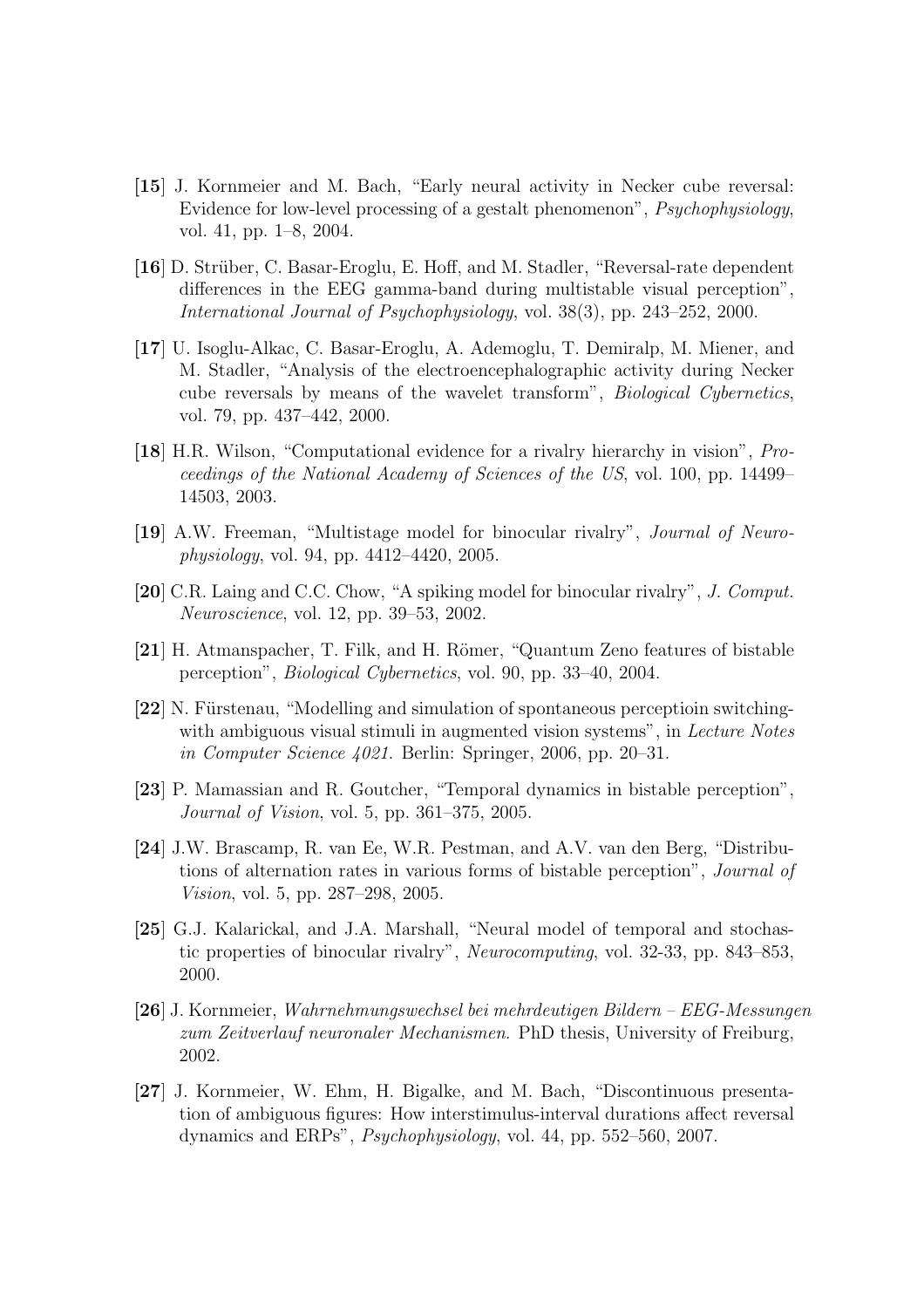- **[15**] J. Kornmeier and M. Bach, "Early neural activity in Necker cube reversal: Evidence for low-level processing of a gestalt phenomenon", *Psychophysiology*, vol. 41, pp. 1–8, 2004.
- [16] D. Strüber, C. Basar-Eroglu, E. Hoff, and M. Stadler, "Reversal-rate dependent differences in the EEG gamma-band during multistable visual perception", *International Journal of Psychophysiology*, vol. 38(3), pp. 243–252, 2000.
- **[17**] U. Isoglu-Alkac, C. Basar-Eroglu, A. Ademoglu, T. Demiralp, M. Miener, and M. Stadler, "Analysis of the electroencephalographic activity during Necker cube reversals by means of the wavelet transform", *Biological Cybernetics*, vol. 79, pp. 437–442, 2000.
- **[18**] H.R. Wilson, "Computational evidence for a rivalry hierarchy in vision", *Proceedings of the National Academy of Sciences of the US*, vol. 100, pp. 14499– 14503, 2003.
- **[19**] A.W. Freeman, "Multistage model for binocular rivalry", *Journal of Neurophysiology*, vol. 94, pp. 4412–4420, 2005.
- **[20**] C.R. Laing and C.C. Chow, "A spiking model for binocular rivalry", *J. Comput. Neuroscience*, vol. 12, pp. 39–53, 2002.
- **[21**] H. Atmanspacher, T. Filk, and H. R¨omer, "Quantum Zeno features of bistable perception", *Biological Cybernetics*, vol. 90, pp. 33–40, 2004.
- **[22**] N. Fürstenau, "Modelling and simulation of spontaneous perceptioin switchingwith ambiguous visual stimuli in augmented vision systems", in *Lecture Notes in Computer Science 4021*. Berlin: Springer, 2006, pp. 20–31.
- **[23**] P. Mamassian and R. Goutcher, "Temporal dynamics in bistable perception", *Journal of Vision*, vol. 5, pp. 361–375, 2005.
- **[24**] J.W. Brascamp, R. van Ee, W.R. Pestman, and A.V. van den Berg, "Distributions of alternation rates in various forms of bistable perception", *Journal of Vision*, vol. 5, pp. 287–298, 2005.
- **[25**] G.J. Kalarickal, and J.A. Marshall, "Neural model of temporal and stochastic properties of binocular rivalry", *Neurocomputing*, vol. 32-33, pp. 843–853, 2000.
- **[26**] J. Kornmeier, *Wahrnehmungswechsel bei mehrdeutigen Bildern EEG-Messungen zum Zeitverlauf neuronaler Mechanismen*. PhD thesis, University of Freiburg, 2002.
- **[27**] J. Kornmeier, W. Ehm, H. Bigalke, and M. Bach, "Discontinuous presentation of ambiguous figures: How interstimulus-interval durations affect reversal dynamics and ERPs", *Psychophysiology*, vol. 44, pp. 552–560, 2007.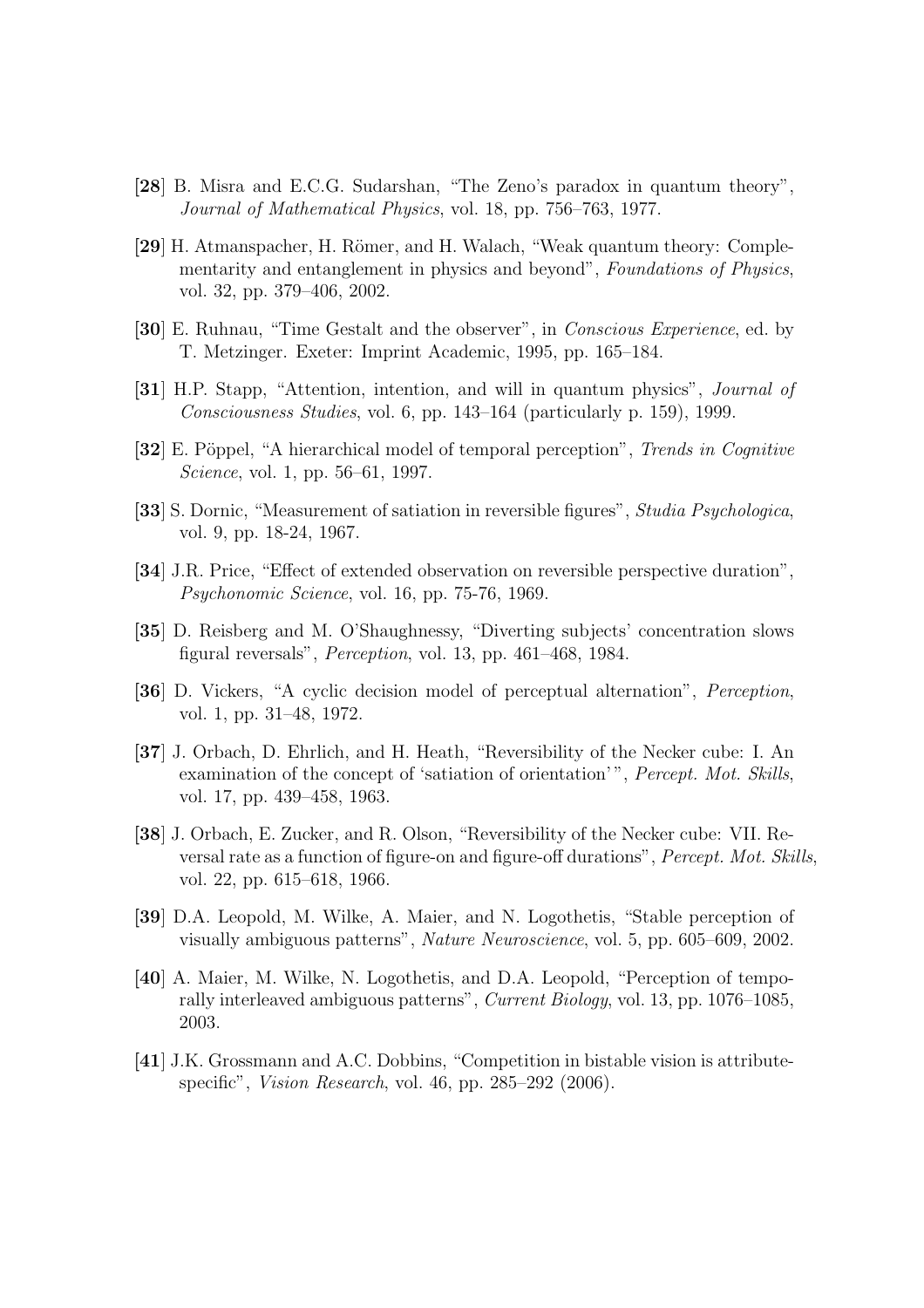- **[28**] B. Misra and E.C.G. Sudarshan, "The Zeno's paradox in quantum theory", *Journal of Mathematical Physics*, vol. 18, pp. 756–763, 1977.
- [29] H. Atmanspacher, H. Römer, and H. Walach, "Weak quantum theory: Complementarity and entanglement in physics and beyond", *Foundations of Physics*, vol. 32, pp. 379–406, 2002.
- **[30**] E. Ruhnau, "Time Gestalt and the observer", in *Conscious Experience*, ed. by T. Metzinger. Exeter: Imprint Academic, 1995, pp. 165–184.
- **[31**] H.P. Stapp, "Attention, intention, and will in quantum physics", *Journal of Consciousness Studies*, vol. 6, pp. 143–164 (particularly p. 159), 1999.
- [32] E. Pöppel, "A hierarchical model of temporal perception", *Trends in Cognitive Science*, vol. 1, pp. 56–61, 1997.
- **[33**] S. Dornic, "Measurement of satiation in reversible figures", *Studia Psychologica*, vol. 9, pp. 18-24, 1967.
- **[34**] J.R. Price, "Effect of extended observation on reversible perspective duration", *Psychonomic Science*, vol. 16, pp. 75-76, 1969.
- **[35**] D. Reisberg and M. O'Shaughnessy, "Diverting subjects' concentration slows figural reversals", *Perception*, vol. 13, pp. 461–468, 1984.
- **[36**] D. Vickers, "A cyclic decision model of perceptual alternation", *Perception*, vol. 1, pp. 31–48, 1972.
- **[37**] J. Orbach, D. Ehrlich, and H. Heath, "Reversibility of the Necker cube: I. An examination of the concept of 'satiation of orientation' ", *Percept. Mot. Skills*, vol. 17, pp. 439–458, 1963.
- **[38**] J. Orbach, E. Zucker, and R. Olson, "Reversibility of the Necker cube: VII. Reversal rate as a function of figure-on and figure-off durations", *Percept. Mot. Skills*, vol. 22, pp. 615–618, 1966.
- **[39**] D.A. Leopold, M. Wilke, A. Maier, and N. Logothetis, "Stable perception of visually ambiguous patterns", *Nature Neuroscience*, vol. 5, pp. 605–609, 2002.
- **[40**] A. Maier, M. Wilke, N. Logothetis, and D.A. Leopold, "Perception of temporally interleaved ambiguous patterns", *Current Biology*, vol. 13, pp. 1076–1085, 2003.
- **[41**] J.K. Grossmann and A.C. Dobbins, "Competition in bistable vision is attributespecific", *Vision Research*, vol. 46, pp. 285–292 (2006).